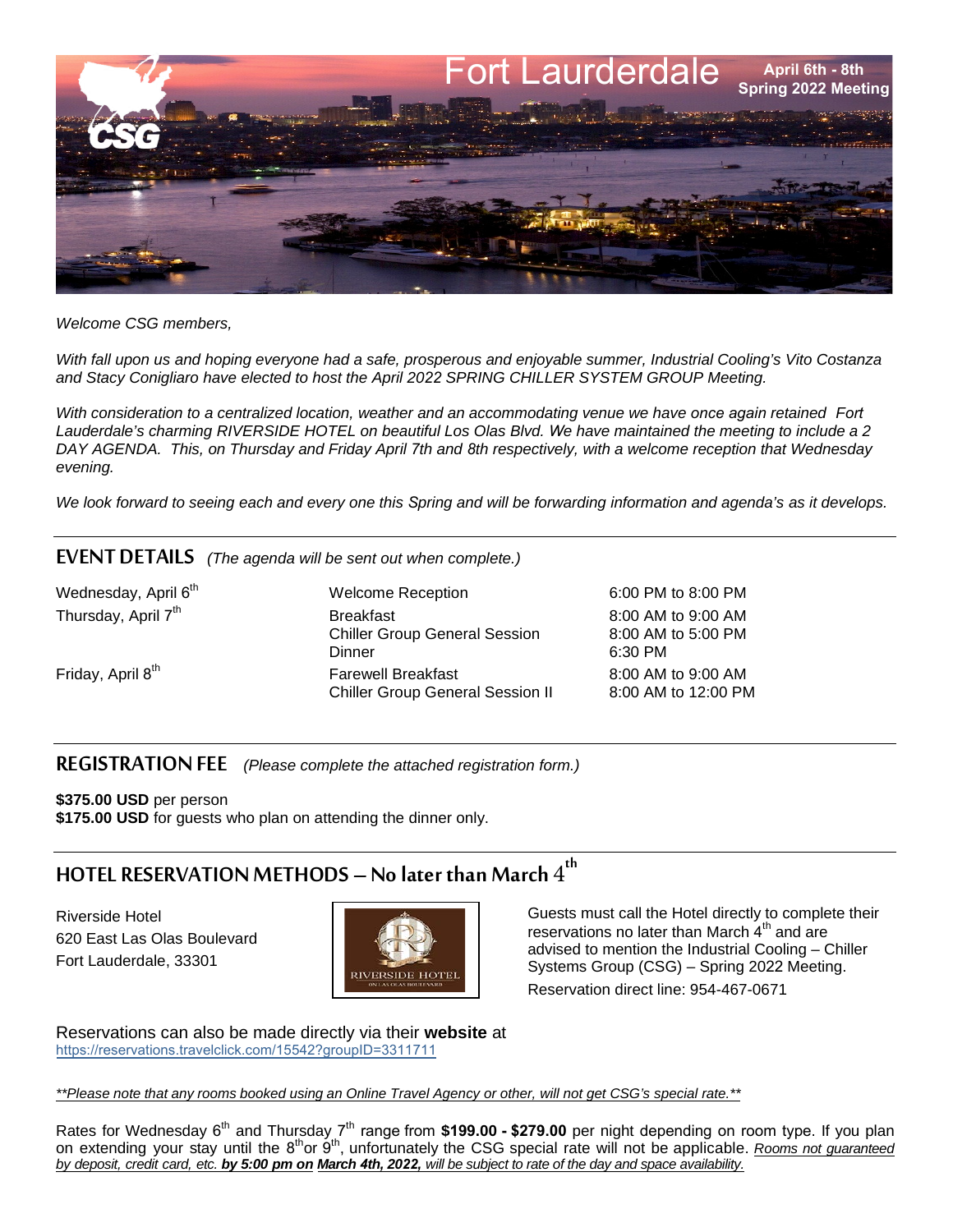

*Welcome CSG members,*

*With fall upon us and hoping everyone had a safe, prosperous and enjoyable summer, Industrial Cooling's Vito Costanza and Stacy Conigliaro have elected to host the April 2022 SPRING CHILLER SYSTEM GROUP Meeting.* 

*With consideration to a centralized location, weather and an accommodating venue we have once again retained Fort Lauderdale's charming RIVERSIDE HOTEL on beautiful Los Olas Blvd. We have maintained the meeting to include a 2 DAY AGENDA. This, on Thursday and Friday April 7th and 8th respectively, with a welcome reception that Wednesday evening.* 

*We look forward to seeing each and every one this Spring and will be forwarding information and agenda's as it develops.* 

## EVENT DETAILS *(The agenda will be sent out when complete.)*

Wednesday, April 6<sup>th</sup> Thursday, April 7<sup>th</sup>

Friday, April 8

Welcome Reception 6:00 PM to 8:00 PM Breakfast<br>Chiller Group General Session 8:00 AM to 5:00 PM Chiller Group General Session<br>Dinner Farewell Breakfast 8:00 AM to 9:00 AM<br>Chiller Group General Session II 8:00 AM to 12:00 PM Chiller Group General Session II

6:30 PM

REGISTRATION FEE *(Please complete the attached registration form.)*

**\$375.00 USD** per person **\$175.00 USD** for guests who plan on attending the dinner only.

## HOTEL RESERVATION METHODS — No later than March  $4^{\rm th}$

Riverside Hotel 620 East Las Olas Boulevard Fort Lauderdale, 33301



Guests must call the Hotel directly to complete their reservations no later than March 4<sup>th</sup> and are advised to mention the Industrial Cooling – Chiller Systems Group (CSG) – Spring 2022 Meeting. Reservation direct line: 954-467-0671

Reservations can also be made directly via their **website** at [https://reservations.travelclick.com/15542?groupID=3311711](http://bookings.ihotelier.com/bookings.jsp?groupID=2006178&hotelID=15542)

*\*\*Please note that any rooms booked using an Online Travel Agency or other, will not get CSG's special rate.\*\**

Rates for Wednesday 6<sup>th</sup> and Thursday 7<sup>th</sup> range from \$199.00 - \$279.00 per night depending on room type. If you plan on extending your stay until the 8<sup>th</sup>or 9<sup>th</sup>, unfortunately the CSG special rate will not be applicable. *Rooms not guaranteed by deposit, credit card, etc. by 5:00 pm on March 4th, 2022, will be subject to rate of the day and space availability.*